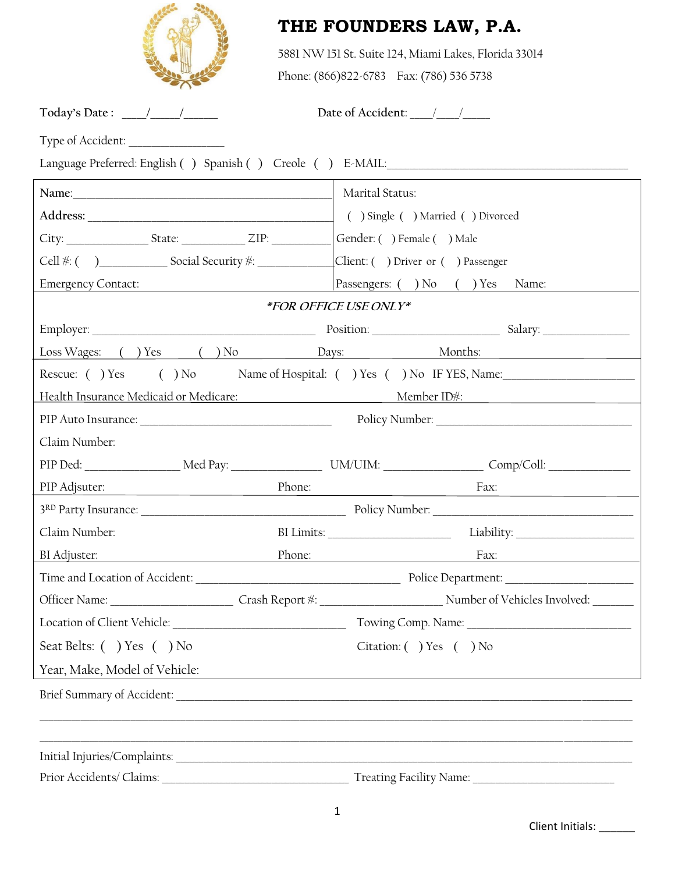

# **THE FOUNDERS LAW, P.A.**

5881 NW 151 St. Suite 124, Miami Lakes, Florida 33014

Phone: (866)822-6783 Fax: (786) 536 5738

**Today's Date : \_\_\_\_\_/\_\_\_\_\_\_/\_\_\_\_\_\_\_ Date of Accident**: \_\_\_\_\_/\_\_\_\_\_/\_\_\_\_\_\_

Type of Accident: \_\_\_\_\_\_\_\_\_\_\_\_\_\_\_\_\_\_\_\_\_

|                                                                                                                                                                                                                                                                                                                                                   | Marital Status:                                                                                                |  |
|---------------------------------------------------------------------------------------------------------------------------------------------------------------------------------------------------------------------------------------------------------------------------------------------------------------------------------------------------|----------------------------------------------------------------------------------------------------------------|--|
|                                                                                                                                                                                                                                                                                                                                                   | ( ) Single ( ) Married ( ) Divorced                                                                            |  |
| City: State: ZIP:                                                                                                                                                                                                                                                                                                                                 | Gender: () Female () Male                                                                                      |  |
| $Cell$ $\frac{\#: ( )$ $\qquad \qquad$ $}$ $\qquad \qquad$ $\qquad$ $\qquad$ $\qquad$ $\qquad$ $\qquad$ $\qquad$ $\qquad$ $\qquad$ $\qquad$ $\qquad$ $\qquad$ $\qquad$ $\qquad$ $\qquad$ $\qquad$ $\qquad$ $\qquad$ $\qquad$ $\qquad$ $\qquad$ $\qquad$ $\qquad$ $\qquad$ $\qquad$ $\qquad$ $\qquad$ $\qquad$ $\qquad$ $\qquad$ $\qquad$ $\qquad$ | Client: ( ) Driver or ( ) Passenger                                                                            |  |
| Emergency Contact:                                                                                                                                                                                                                                                                                                                                | Passengers: ( ) No ( ) Yes Name:                                                                               |  |
|                                                                                                                                                                                                                                                                                                                                                   | *FOR OFFICE USE ONLY*                                                                                          |  |
|                                                                                                                                                                                                                                                                                                                                                   |                                                                                                                |  |
|                                                                                                                                                                                                                                                                                                                                                   | Loss Wages: ( ) Yes ( ) No Days: Months:                                                                       |  |
|                                                                                                                                                                                                                                                                                                                                                   | Rescue: () Yes () No Name of Hospital: () Yes () No IF YES, Name:                                              |  |
|                                                                                                                                                                                                                                                                                                                                                   | Health Insurance Medicaid or Medicare: Member ID#: Member ID#:                                                 |  |
|                                                                                                                                                                                                                                                                                                                                                   |                                                                                                                |  |
| Claim Number:                                                                                                                                                                                                                                                                                                                                     |                                                                                                                |  |
|                                                                                                                                                                                                                                                                                                                                                   | PIP Ded: ___________________ Med Pay: ____________________ UM/UIM: _________________ Comp/Coll: ______________ |  |
| PIP Adjsuter: Note that the set of the set of the set of the set of the set of the set of the set of the set of the set of the set of the set of the set of the set of the set of the set of the set of the set of the set of                                                                                                                     | Phone:<br>Fax:                                                                                                 |  |
|                                                                                                                                                                                                                                                                                                                                                   |                                                                                                                |  |
| Claim Number:                                                                                                                                                                                                                                                                                                                                     |                                                                                                                |  |
| BI Adjuster:                                                                                                                                                                                                                                                                                                                                      | Phone: Fax: Fax:                                                                                               |  |
|                                                                                                                                                                                                                                                                                                                                                   |                                                                                                                |  |
|                                                                                                                                                                                                                                                                                                                                                   |                                                                                                                |  |
|                                                                                                                                                                                                                                                                                                                                                   |                                                                                                                |  |
| Seat Belts: () Yes () No                                                                                                                                                                                                                                                                                                                          | Citation: () Yes () No                                                                                         |  |
| Year, Make, Model of Vehicle:                                                                                                                                                                                                                                                                                                                     |                                                                                                                |  |
|                                                                                                                                                                                                                                                                                                                                                   |                                                                                                                |  |
|                                                                                                                                                                                                                                                                                                                                                   |                                                                                                                |  |
|                                                                                                                                                                                                                                                                                                                                                   |                                                                                                                |  |
| Prior Accidents/ Claims:                                                                                                                                                                                                                                                                                                                          | Treating Facility Name:                                                                                        |  |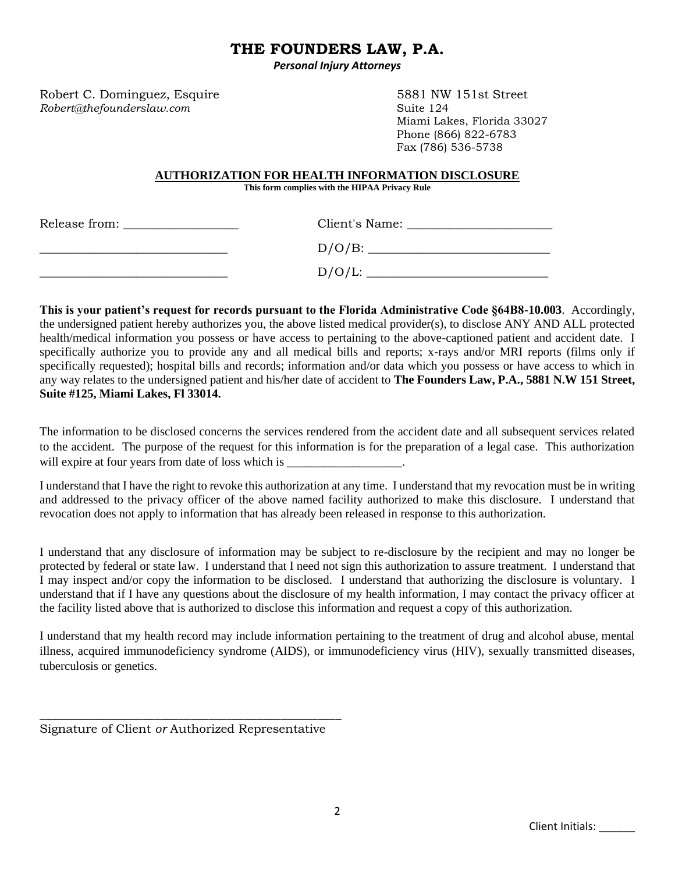# **THE FOUNDERS LAW, P.A.**

*Personal Injury Attorneys*

Robert C. Dominguez, Esquire 5881 NW 151st Street *Robert@thefounderslaw.com* Suite 124

Miami Lakes, Florida 33027 Phone (866) 822-6783 Fax (786) 536-5738

#### **AUTHORIZATION FOR HEALTH INFORMATION DISCLOSURE**

**This form complies with the HIPAA Privacy Rule**

| Release from: | Client's Name: |  |
|---------------|----------------|--|
|               | $D/O/B$ :      |  |
|               | $D/O/L$ :      |  |

**This is your patient's request for records pursuant to the Florida Administrative Code §64B8-10.003**. Accordingly, the undersigned patient hereby authorizes you, the above listed medical provider(s), to disclose ANY AND ALL protected health/medical information you possess or have access to pertaining to the above-captioned patient and accident date. I specifically authorize you to provide any and all medical bills and reports; x-rays and/or MRI reports (films only if specifically requested); hospital bills and records; information and/or data which you possess or have access to which in any way relates to the undersigned patient and his/her date of accident to **The Founders Law, P.A., 5881 N.W 151 Street, Suite #125, Miami Lakes, Fl 33014.**

The information to be disclosed concerns the services rendered from the accident date and all subsequent services related to the accident. The purpose of the request for this information is for the preparation of a legal case. This authorization will expire at four years from date of loss which is

I understand that I have the right to revoke this authorization at any time. I understand that my revocation must be in writing and addressed to the privacy officer of the above named facility authorized to make this disclosure. I understand that revocation does not apply to information that has already been released in response to this authorization.

I understand that any disclosure of information may be subject to re-disclosure by the recipient and may no longer be protected by federal or state law. I understand that I need not sign this authorization to assure treatment. I understand that I may inspect and/or copy the information to be disclosed. I understand that authorizing the disclosure is voluntary. I understand that if I have any questions about the disclosure of my health information, I may contact the privacy officer at the facility listed above that is authorized to disclose this information and request a copy of this authorization.

I understand that my health record may include information pertaining to the treatment of drug and alcohol abuse, mental illness, acquired immunodeficiency syndrome (AIDS), or immunodeficiency virus (HIV), sexually transmitted diseases, tuberculosis or genetics.

\_\_\_\_\_\_\_\_\_\_\_\_\_\_\_\_\_\_\_\_\_\_\_\_\_\_\_\_\_\_\_\_\_\_\_\_\_\_\_\_\_\_\_\_\_\_\_\_\_\_ Signature of Client *or* Authorized Representative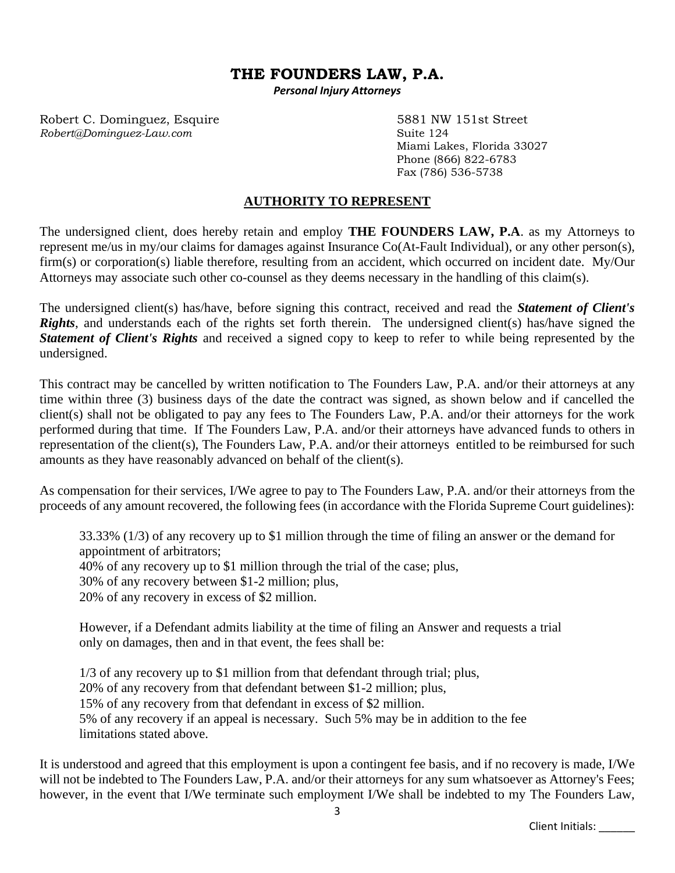## **THE FOUNDERS LAW, P.A.**

*Personal Injury Attorneys*

Robert C. Dominguez, Esquire 5881 NW 151st Street *Robert@Dominguez-Law.com* Suite 124

Miami Lakes, Florida 33027 Phone (866) 822-6783 Fax (786) 536-5738

### **AUTHORITY TO REPRESENT**

The undersigned client, does hereby retain and employ **THE FOUNDERS LAW, P.A**. as my Attorneys to represent me/us in my/our claims for damages against Insurance Co(At-Fault Individual), or any other person(s), firm(s) or corporation(s) liable therefore, resulting from an accident, which occurred on incident date. My/Our Attorneys may associate such other co-counsel as they deems necessary in the handling of this claim(s).

The undersigned client(s) has/have, before signing this contract, received and read the *Statement of Client's Rights*, and understands each of the rights set forth therein. The undersigned client(s) has/have signed the *Statement of Client's Rights* and received a signed copy to keep to refer to while being represented by the undersigned.

This contract may be cancelled by written notification to The Founders Law, P.A. and/or their attorneys at any time within three (3) business days of the date the contract was signed, as shown below and if cancelled the client(s) shall not be obligated to pay any fees to The Founders Law, P.A. and/or their attorneys for the work performed during that time. If The Founders Law, P.A. and/or their attorneys have advanced funds to others in representation of the client(s), The Founders Law, P.A. and/or their attorneys entitled to be reimbursed for such amounts as they have reasonably advanced on behalf of the client(s).

As compensation for their services, I/We agree to pay to The Founders Law, P.A. and/or their attorneys from the proceeds of any amount recovered, the following fees (in accordance with the Florida Supreme Court guidelines):

33.33% (1/3) of any recovery up to \$1 million through the time of filing an answer or the demand for appointment of arbitrators; 40% of any recovery up to \$1 million through the trial of the case; plus, 30% of any recovery between \$1-2 million; plus, 20% of any recovery in excess of \$2 million.

However, if a Defendant admits liability at the time of filing an Answer and requests a trial only on damages, then and in that event, the fees shall be:

1/3 of any recovery up to \$1 million from that defendant through trial; plus, 20% of any recovery from that defendant between \$1-2 million; plus, 15% of any recovery from that defendant in excess of \$2 million. 5% of any recovery if an appeal is necessary. Such 5% may be in addition to the fee limitations stated above.

It is understood and agreed that this employment is upon a contingent fee basis, and if no recovery is made, I/We will not be indebted to The Founders Law, P.A. and/or their attorneys for any sum whatsoever as Attorney's Fees; however, in the event that I/We terminate such employment I/We shall be indebted to my The Founders Law,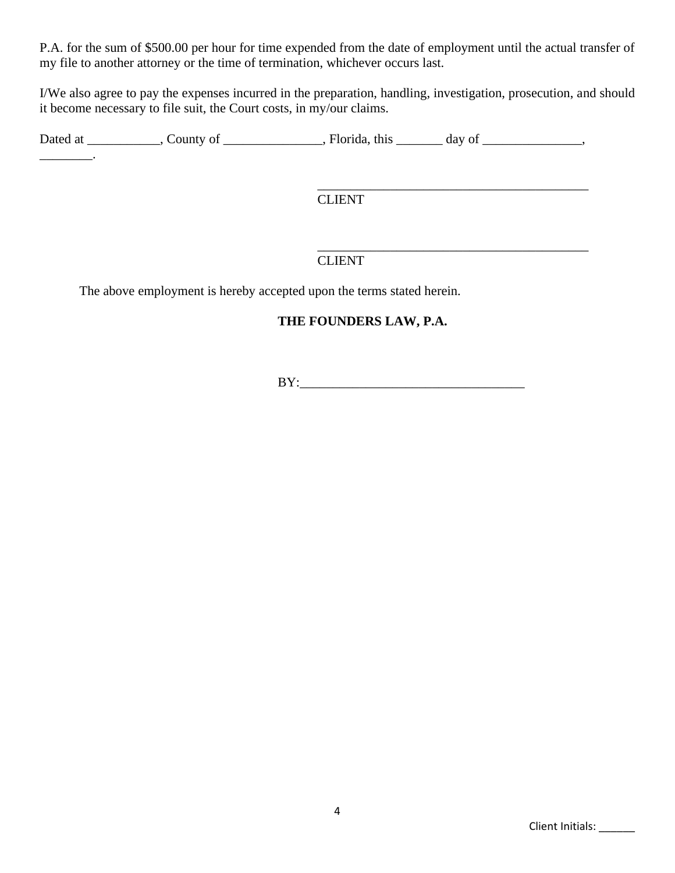P.A. for the sum of \$500.00 per hour for time expended from the date of employment until the actual transfer of my file to another attorney or the time of termination, whichever occurs last.

I/We also agree to pay the expenses incurred in the preparation, handling, investigation, prosecution, and should it become necessary to file suit, the Court costs, in my/our claims.

Dated at \_\_\_\_\_\_\_\_\_, County of \_\_\_\_\_\_\_\_\_\_\_, Florida, this \_\_\_\_\_\_\_ day of \_\_\_\_\_\_\_\_\_,

\_\_\_\_\_\_\_\_\_\_\_\_\_\_\_\_\_\_\_\_\_\_\_\_\_\_\_\_\_\_\_\_\_\_\_\_\_\_\_\_\_ CLIENT

### CLIENT

The above employment is hereby accepted upon the terms stated herein.

\_\_\_\_\_\_\_\_.

### **THE FOUNDERS LAW, P.A.**

 $BY:$ 

\_\_\_\_\_\_\_\_\_\_\_\_\_\_\_\_\_\_\_\_\_\_\_\_\_\_\_\_\_\_\_\_\_\_\_\_\_\_\_\_\_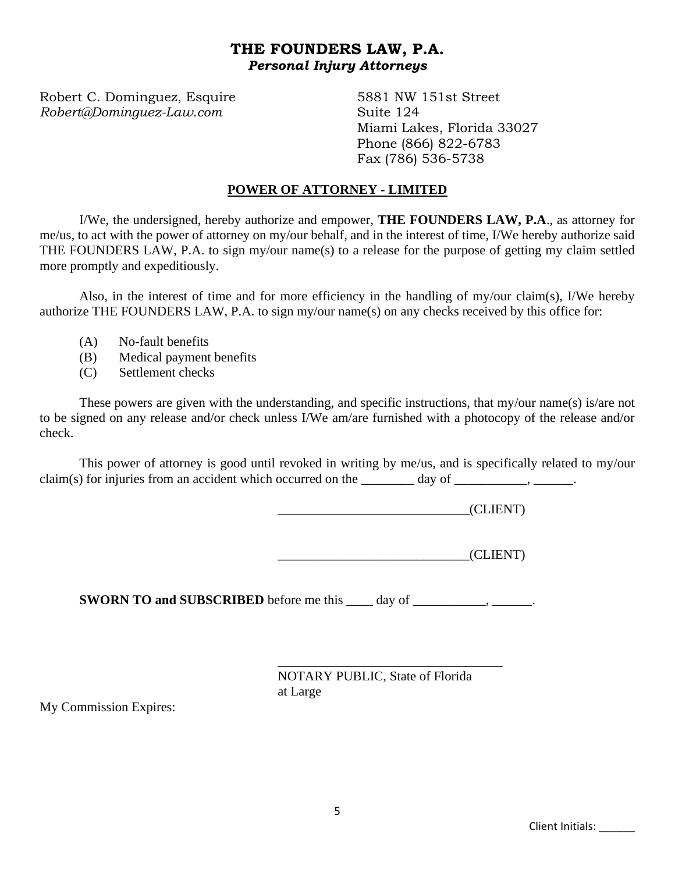# **THE FOUNDERS LAW, P.A.** *Personal Injury Attorneys*

Robert C. Dominguez, Esquire 5881 NW 151st Street *Robert@Dominguez-Law.com* Suite 124

Miami Lakes, Florida 33027 Phone (866) 822-6783 Fax (786) 536-5738

#### **POWER OF ATTORNEY - LIMITED**

I/We, the undersigned, hereby authorize and empower, **THE FOUNDERS LAW, P.A**., as attorney for me/us, to act with the power of attorney on my/our behalf, and in the interest of time, I/We hereby authorize said THE FOUNDERS LAW, P.A. to sign my/our name(s) to a release for the purpose of getting my claim settled more promptly and expeditiously.

Also, in the interest of time and for more efficiency in the handling of my/our claim(s), I/We hereby authorize THE FOUNDERS LAW, P.A. to sign my/our name(s) on any checks received by this office for:

- (A) No-fault benefits
- (B) Medical payment benefits
- (C) Settlement checks

These powers are given with the understanding, and specific instructions, that my/our name(s) is/are not to be signed on any release and/or check unless I/We am/are furnished with a photocopy of the release and/or check.

This power of attorney is good until revoked in writing by me/us, and is specifically related to my/our claim(s) for injuries from an accident which occurred on the  $\_\_\_\_\_\_\_\_\$  day of  $\_\_\_\_\_\_\_\_\_\_\_\_\_\_\_\_\_\_\_$ 

\_\_\_\_\_\_\_\_\_\_\_\_\_\_\_\_\_\_\_\_\_\_\_\_\_\_\_\_\_(CLIENT)

 $CLIENT)$ 

**SWORN TO and SUBSCRIBED** before me this \_\_\_\_ day of \_\_\_\_\_\_\_\_\_, \_\_\_\_\_\_.

\_\_\_\_\_\_\_\_\_\_\_\_\_\_\_\_\_\_\_\_\_\_\_\_\_\_\_\_\_\_\_\_\_\_ NOTARY PUBLIC, State of Florida at Large

My Commission Expires: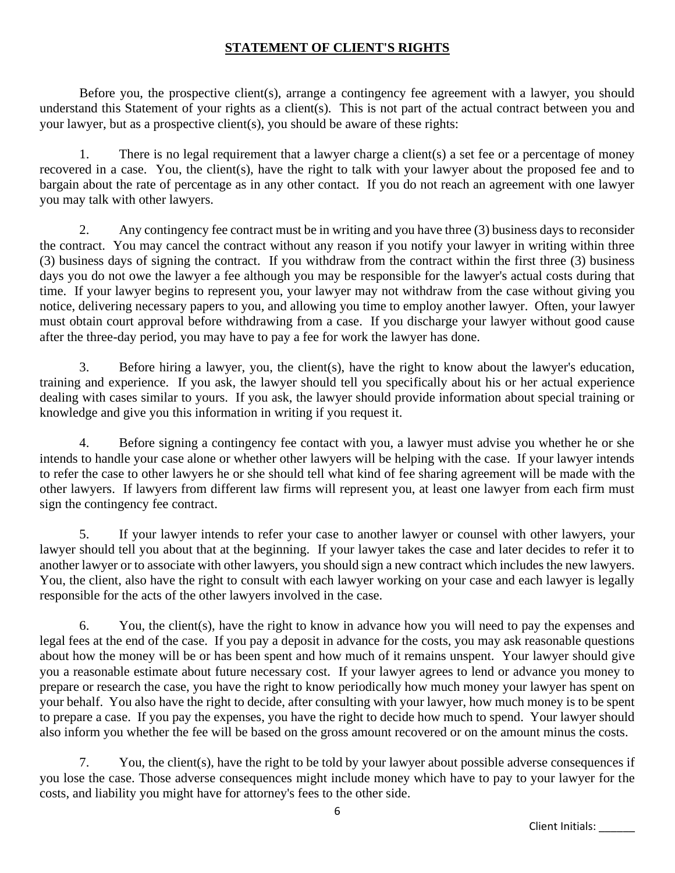### **STATEMENT OF CLIENT'S RIGHTS**

Before you, the prospective client(s), arrange a contingency fee agreement with a lawyer, you should understand this Statement of your rights as a client(s). This is not part of the actual contract between you and your lawyer, but as a prospective client(s), you should be aware of these rights:

1. There is no legal requirement that a lawyer charge a client(s) a set fee or a percentage of money recovered in a case. You, the client(s), have the right to talk with your lawyer about the proposed fee and to bargain about the rate of percentage as in any other contact. If you do not reach an agreement with one lawyer you may talk with other lawyers.

2. Any contingency fee contract must be in writing and you have three (3) business days to reconsider the contract. You may cancel the contract without any reason if you notify your lawyer in writing within three (3) business days of signing the contract. If you withdraw from the contract within the first three (3) business days you do not owe the lawyer a fee although you may be responsible for the lawyer's actual costs during that time. If your lawyer begins to represent you, your lawyer may not withdraw from the case without giving you notice, delivering necessary papers to you, and allowing you time to employ another lawyer. Often, your lawyer must obtain court approval before withdrawing from a case. If you discharge your lawyer without good cause after the three-day period, you may have to pay a fee for work the lawyer has done.

3. Before hiring a lawyer, you, the client(s), have the right to know about the lawyer's education, training and experience. If you ask, the lawyer should tell you specifically about his or her actual experience dealing with cases similar to yours. If you ask, the lawyer should provide information about special training or knowledge and give you this information in writing if you request it.

4. Before signing a contingency fee contact with you, a lawyer must advise you whether he or she intends to handle your case alone or whether other lawyers will be helping with the case. If your lawyer intends to refer the case to other lawyers he or she should tell what kind of fee sharing agreement will be made with the other lawyers. If lawyers from different law firms will represent you, at least one lawyer from each firm must sign the contingency fee contract.

5. If your lawyer intends to refer your case to another lawyer or counsel with other lawyers, your lawyer should tell you about that at the beginning. If your lawyer takes the case and later decides to refer it to another lawyer or to associate with other lawyers, you should sign a new contract which includes the new lawyers. You, the client, also have the right to consult with each lawyer working on your case and each lawyer is legally responsible for the acts of the other lawyers involved in the case.

6. You, the client(s), have the right to know in advance how you will need to pay the expenses and legal fees at the end of the case. If you pay a deposit in advance for the costs, you may ask reasonable questions about how the money will be or has been spent and how much of it remains unspent. Your lawyer should give you a reasonable estimate about future necessary cost. If your lawyer agrees to lend or advance you money to prepare or research the case, you have the right to know periodically how much money your lawyer has spent on your behalf. You also have the right to decide, after consulting with your lawyer, how much money is to be spent to prepare a case. If you pay the expenses, you have the right to decide how much to spend. Your lawyer should also inform you whether the fee will be based on the gross amount recovered or on the amount minus the costs.

7. You, the client(s), have the right to be told by your lawyer about possible adverse consequences if you lose the case. Those adverse consequences might include money which have to pay to your lawyer for the costs, and liability you might have for attorney's fees to the other side.

Client Initials: \_\_\_\_\_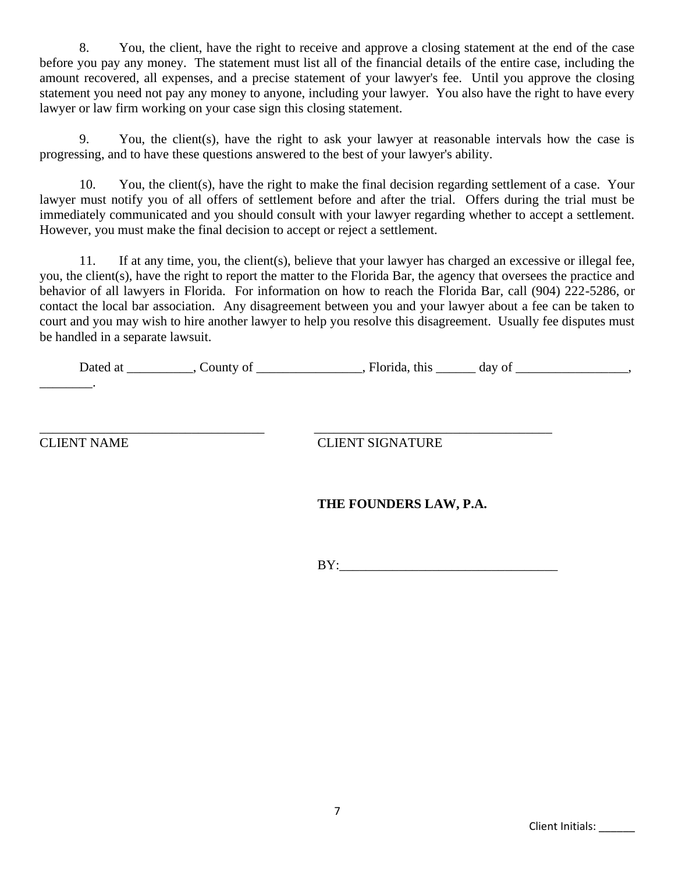8. You, the client, have the right to receive and approve a closing statement at the end of the case before you pay any money. The statement must list all of the financial details of the entire case, including the amount recovered, all expenses, and a precise statement of your lawyer's fee. Until you approve the closing statement you need not pay any money to anyone, including your lawyer. You also have the right to have every lawyer or law firm working on your case sign this closing statement.

9. You, the client(s), have the right to ask your lawyer at reasonable intervals how the case is progressing, and to have these questions answered to the best of your lawyer's ability.

 10. You, the client(s), have the right to make the final decision regarding settlement of a case. Your lawyer must notify you of all offers of settlement before and after the trial. Offers during the trial must be immediately communicated and you should consult with your lawyer regarding whether to accept a settlement. However, you must make the final decision to accept or reject a settlement.

 11. If at any time, you, the client(s), believe that your lawyer has charged an excessive or illegal fee, you, the client(s), have the right to report the matter to the Florida Bar, the agency that oversees the practice and behavior of all lawyers in Florida. For information on how to reach the Florida Bar, call (904) 222-5286, or contact the local bar association. Any disagreement between you and your lawyer about a fee can be taken to court and you may wish to hire another lawyer to help you resolve this disagreement. Usually fee disputes must be handled in a separate lawsuit.

|  | Jated at | Jounty of | this<br>Florida | day of |  |
|--|----------|-----------|-----------------|--------|--|
|--|----------|-----------|-----------------|--------|--|

\_\_\_\_\_\_\_\_.

\_\_\_\_\_\_\_\_\_\_\_\_\_\_\_\_\_\_\_\_\_\_\_\_\_\_\_\_\_\_\_\_\_\_ \_\_\_\_\_\_\_\_\_\_\_\_\_\_\_\_\_\_\_\_\_\_\_\_\_\_\_\_\_\_\_\_\_\_\_\_

CLIENT NAME CLIENT SIGNATURE

## **THE FOUNDERS LAW, P.A.**

 $BY:$